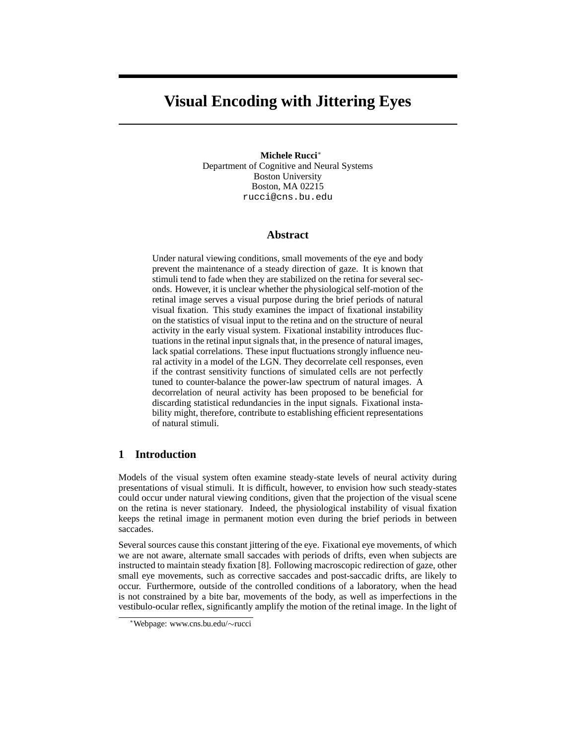# **Visual Encoding with Jittering Eyes**

**Michele Rucci**<sup>∗</sup> Department of Cognitive and Neural Systems Boston University Boston, MA 02215 rucci@cns.bu.edu

## **Abstract**

Under natural viewing conditions, small movements of the eye and body prevent the maintenance of a steady direction of gaze. It is known that stimuli tend to fade when they are stabilized on the retina for several seconds. However, it is unclear whether the physiological self-motion of the retinal image serves a visual purpose during the brief periods of natural visual fixation. This study examines the impact of fixational instability on the statistics of visual input to the retina and on the structure of neural activity in the early visual system. Fixational instability introduces fluctuations in the retinal input signals that, in the presence of natural images, lack spatial correlations. These input fluctuations strongly influence neural activity in a model of the LGN. They decorrelate cell responses, even if the contrast sensitivity functions of simulated cells are not perfectly tuned to counter-balance the power-law spectrum of natural images. A decorrelation of neural activity has been proposed to be beneficial for discarding statistical redundancies in the input signals. Fixational instability might, therefore, contribute to establishing efficient representations of natural stimuli.

## **1 Introduction**

Models of the visual system often examine steady-state levels of neural activity during presentations of visual stimuli. It is difficult, however, to envision how such steady-states could occur under natural viewing conditions, given that the projection of the visual scene on the retina is never stationary. Indeed, the physiological instability of visual fixation keeps the retinal image in permanent motion even during the brief periods in between saccades.

Several sources cause this constant jittering of the eye. Fixational eye movements, of which we are not aware, alternate small saccades with periods of drifts, even when subjects are instructed to maintain steady fixation [8]. Following macroscopic redirection of gaze, other small eye movements, such as corrective saccades and post-saccadic drifts, are likely to occur. Furthermore, outside of the controlled conditions of a laboratory, when the head is not constrained by a bite bar, movements of the body, as well as imperfections in the vestibulo-ocular reflex, significantly amplify the motion of the retinal image. In the light of

<sup>∗</sup>Webpage: www.cns.bu.edu/∼rucci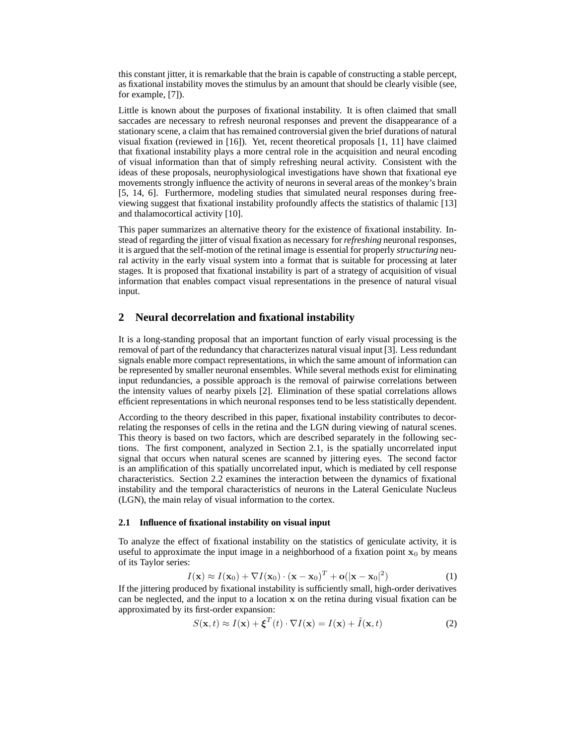this constant jitter, it is remarkable that the brain is capable of constructing a stable percept, as fixational instability moves the stimulus by an amount that should be clearly visible (see, for example, [7]).

Little is known about the purposes of fixational instability. It is often claimed that small saccades are necessary to refresh neuronal responses and prevent the disappearance of a stationary scene, a claim that has remained controversial given the brief durations of natural visual fixation (reviewed in [16]). Yet, recent theoretical proposals [1, 11] have claimed that fixational instability plays a more central role in the acquisition and neural encoding of visual information than that of simply refreshing neural activity. Consistent with the ideas of these proposals, neurophysiological investigations have shown that fixational eye movements strongly influence the activity of neurons in several areas of the monkey's brain [5, 14, 6]. Furthermore, modeling studies that simulated neural responses during freeviewing suggest that fixational instability profoundly affects the statistics of thalamic [13] and thalamocortical activity [10].

This paper summarizes an alternative theory for the existence of fixational instability. Instead of regarding the jitter of visual fixation as necessary for*refreshing* neuronal responses, it is argued that the self-motion of the retinal image is essential for properly *structuring* neural activity in the early visual system into a format that is suitable for processing at later stages. It is proposed that fixational instability is part of a strategy of acquisition of visual information that enables compact visual representations in the presence of natural visual input.

## **2 Neural decorrelation and fixational instability**

It is a long-standing proposal that an important function of early visual processing is the removal of part of the redundancy that characterizes natural visual input [3]. Less redundant signals enable more compact representations, in which the same amount of information can be represented by smaller neuronal ensembles. While several methods exist for eliminating input redundancies, a possible approach is the removal of pairwise correlations between the intensity values of nearby pixels [2]. Elimination of these spatial correlations allows efficient representations in which neuronal responses tend to be less statistically dependent.

According to the theory described in this paper, fixational instability contributes to decorrelating the responses of cells in the retina and the LGN during viewing of natural scenes. This theory is based on two factors, which are described separately in the following sections. The first component, analyzed in Section 2.1, is the spatially uncorrelated input signal that occurs when natural scenes are scanned by jittering eyes. The second factor is an amplification of this spatially uncorrelated input, which is mediated by cell response characteristics. Section 2.2 examines the interaction between the dynamics of fixational instability and the temporal characteristics of neurons in the Lateral Geniculate Nucleus (LGN), the main relay of visual information to the cortex.

#### **2.1 Influence of fixational instability on visual input**

To analyze the effect of fixational instability on the statistics of geniculate activity, it is useful to approximate the input image in a neighborhood of a fixation point  $x_0$  by means of its Taylor series:

$$
I(\mathbf{x}) \approx I(\mathbf{x}_0) + \nabla I(\mathbf{x}_0) \cdot (\mathbf{x} - \mathbf{x}_0)^T + \mathbf{o}(|\mathbf{x} - \mathbf{x}_0|^2)
$$
 (1)

If the jittering produced by fixational instability is sufficiently small, high-order derivatives can be neglected, and the input to a location x on the retina during visual fixation can be approximated by its first-order expansion:

$$
S(\mathbf{x},t) \approx I(\mathbf{x}) + \boldsymbol{\xi}^{T}(t) \cdot \nabla I(\mathbf{x}) = I(\mathbf{x}) + \tilde{I}(\mathbf{x},t)
$$
\n(2)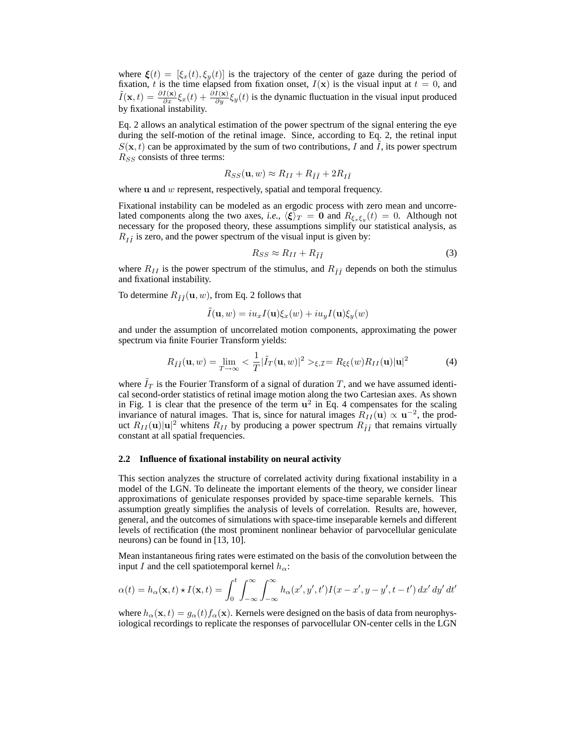where  $\xi(t) = [\xi_x(t), \xi_y(t)]$  is the trajectory of the center of gaze during the period of fixation, t is the time elapsed from fixation onset,  $I(\mathbf{x})$  is the visual input at  $t = 0$ , and  $ilde{I}(\mathbf{x},t) = \frac{\partial I(\mathbf{x})}{\partial x} \xi_x(t) + \frac{\partial I(\mathbf{x})}{\partial y} \xi_y(t)$  is the dynamic fluctuation in the visual input produced by fixational instability.

Eq. 2 allows an analytical estimation of the power spectrum of the signal entering the eye during the self-motion of the retinal image. Since, according to Eq. 2, the retinal input  $S(\mathbf{x}, t)$  can be approximated by the sum of two contributions, I and I, its power spectrum  $R_{SS}$  consists of three terms:

$$
R_{SS}(\mathbf{u}, w) \approx R_{II} + R_{\tilde{I}\tilde{I}} + 2R_{I\tilde{I}}
$$

where  $\bf{u}$  and  $\bf{w}$  represent, respectively, spatial and temporal frequency.

Fixational instability can be modeled as an ergodic process with zero mean and uncorrelated components along the two axes, *i.e.*,  $\langle \xi \rangle_T = 0$  and  $R_{\xi_x \xi_y}(t) = 0$ . Although not necessary for the proposed theory, these assumptions simplify our statistical analysis, as  $R_{I\tilde{I}}$  is zero, and the power spectrum of the visual input is given by:

$$
R_{SS} \approx R_{II} + R_{\tilde{I}\tilde{I}} \tag{3}
$$

where  $R_{II}$  is the power spectrum of the stimulus, and  $R_{\tilde{I}\tilde{I}}$  depends on both the stimulus and fixational instability.

To determine  $R_{\tilde{I}\tilde{I}}(\mathbf{u}, w)$ , from Eq. 2 follows that

$$
\tilde{I}(\mathbf{u},w) = i u_x I(\mathbf{u}) \xi_x(w) + i u_y I(\mathbf{u}) \xi_y(w)
$$

and under the assumption of uncorrelated motion components, approximating the power spectrum via finite Fourier Transform yields:

$$
R_{\tilde{I}\tilde{I}}(\mathbf{u},w) = \lim_{T \to \infty} \langle \frac{1}{T} | \tilde{I}_T(\mathbf{u},w) |^2 \rangle_{\xi,\mathcal{I}} = R_{\xi\xi}(w) R_{II}(\mathbf{u}) |\mathbf{u}|^2 \tag{4}
$$

where  $\tilde{I}_T$  is the Fourier Transform of a signal of duration T, and we have assumed identical second-order statistics of retinal image motion along the two Cartesian axes. As shown in Fig. 1 is clear that the presence of the term  $u^2$  in Eq. 4 compensates for the scaling invariance of natural images. That is, since for natural images  $R_{II}^{I}(\mathbf{u}) \propto \mathbf{u}^{-2}$ , the product  $R_{II}(\mathbf{u})|\mathbf{u}|^2$  whitens  $R_{II}$  by producing a power spectrum  $R_{II}$  that remains virtually constant at all spatial frequencies.

#### **2.2 Influence of fixational instability on neural activity**

This section analyzes the structure of correlated activity during fixational instability in a model of the LGN. To delineate the important elements of the theory, we consider linear approximations of geniculate responses provided by space-time separable kernels. This assumption greatly simplifies the analysis of levels of correlation. Results are, however, general, and the outcomes of simulations with space-time inseparable kernels and different levels of rectification (the most prominent nonlinear behavior of parvocellular geniculate neurons) can be found in [13, 10].

Mean instantaneous firing rates were estimated on the basis of the convolution between the input I and the cell spatiotemporal kernel  $h_{\alpha}$ :

$$
\alpha(t) = h_{\alpha}(\mathbf{x}, t) \star I(\mathbf{x}, t) = \int_0^t \int_{-\infty}^{\infty} \int_{-\infty}^{\infty} h_{\alpha}(x', y', t') I(x - x', y - y', t - t') dx' dy' dt'
$$

where  $h_{\alpha}(\mathbf{x}, t) = g_{\alpha}(t) f_{\alpha}(\mathbf{x})$ . Kernels were designed on the basis of data from neurophysiological recordings to replicate the responses of parvocellular ON-center cells in the LGN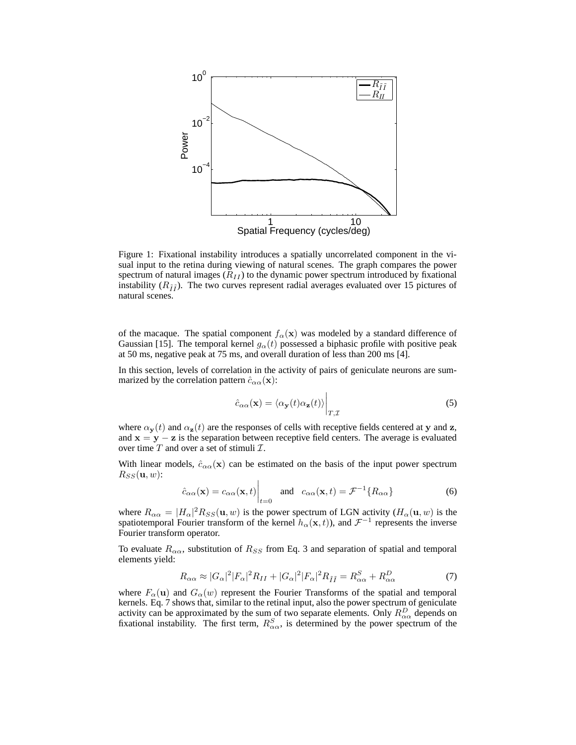

Figure 1: Fixational instability introduces a spatially uncorrelated component in the visual input to the retina during viewing of natural scenes. The graph compares the power spectrum of natural images  $(R_{II})$  to the dynamic power spectrum introduced by fixational instability ( $R_{\tilde{i}\tilde{j}}$ ). The two curves represent radial averages evaluated over 15 pictures of natural scenes.

of the macaque. The spatial component  $f_{\alpha}(\mathbf{x})$  was modeled by a standard difference of Gaussian [15]. The temporal kernel  $g_{\alpha}(t)$  possessed a biphasic profile with positive peak at 50 ms, negative peak at 75 ms, and overall duration of less than 200 ms [4].

In this section, levels of correlation in the activity of pairs of geniculate neurons are summarized by the correlation pattern  $\hat{c}_{\alpha\alpha}(\mathbf{x})$ :

$$
\hat{c}_{\alpha\alpha}(\mathbf{x}) = \langle \alpha_{\mathbf{y}}(t)\alpha_{\mathbf{z}}(t) \rangle \Big|_{T,\mathcal{I}} \tag{5}
$$

where  $\alpha_{y}(t)$  and  $\alpha_{z}(t)$  are the responses of cells with receptive fields centered at y and z, and  $x = y - z$  is the separation between receptive field centers. The average is evaluated over time  $T$  and over a set of stimuli  $\mathcal{I}$ .

With linear models,  $\hat{c}_{\alpha\alpha}(\mathbf{x})$  can be estimated on the basis of the input power spectrum  $R_{SS}(\mathbf{u},w)$ :

$$
\hat{c}_{\alpha\alpha}(\mathbf{x}) = c_{\alpha\alpha}(\mathbf{x}, t)\Big|_{t=0}
$$
 and  $c_{\alpha\alpha}(\mathbf{x}, t) = \mathcal{F}^{-1}\{R_{\alpha\alpha}\}\$  (6)

where  $R_{\alpha\alpha} = |H_{\alpha}|^2 R_{SS}(\mathbf{u}, w)$  is the power spectrum of LGN activity  $(H_{\alpha}(\mathbf{u}, w))$  is the spatiotemporal Fourier transform of the kernel  $h_\alpha$ (**x**, t)), and  $\mathcal{F}^{-1}$  represents the inverse Fourier transform operator.

To evaluate  $R_{\alpha\alpha}$ , substitution of  $R_{SS}$  from Eq. 3 and separation of spatial and temporal elements yield:

$$
R_{\alpha\alpha} \approx |G_{\alpha}|^2 |F_{\alpha}|^2 R_{II} + |G_{\alpha}|^2 |F_{\alpha}|^2 R_{\tilde{II}} = R_{\alpha\alpha}^S + R_{\alpha\alpha}^D \tag{7}
$$

where  $F_{\alpha}(\mathbf{u})$  and  $G_{\alpha}(w)$  represent the Fourier Transforms of the spatial and temporal kernels. Eq. 7 shows that, similar to the retinal input, also the power spectrum of geniculate activity can be approximated by the sum of two separate elements. Only  $R_{\alpha\alpha}^D$  depends on fixational instability. The first term,  $R_{\alpha\alpha}^{S}$ , is determined by the power spectrum of the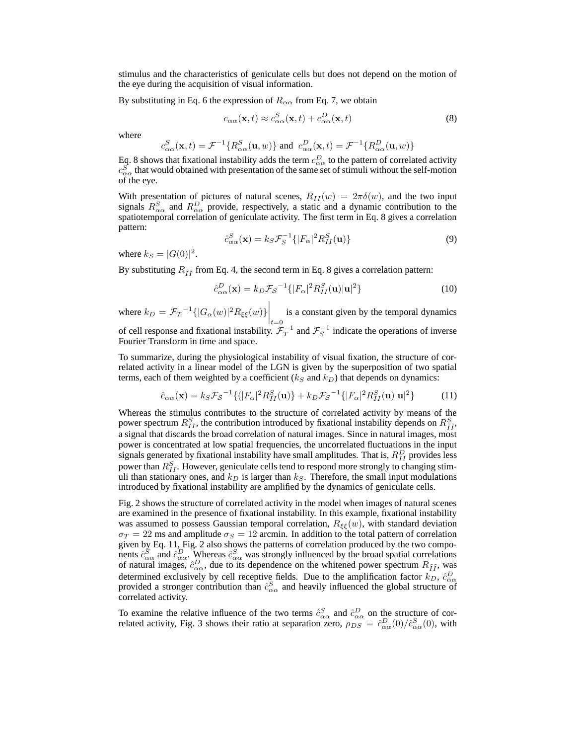stimulus and the characteristics of geniculate cells but does not depend on the motion of the eye during the acquisition of visual information.

By substituting in Eq. 6 the expression of  $R_{\alpha\alpha}$  from Eq. 7, we obtain

$$
c_{\alpha\alpha}(\mathbf{x},t) \approx c_{\alpha\alpha}^{S}(\mathbf{x},t) + c_{\alpha\alpha}^{D}(\mathbf{x},t)
$$
\n(8)

where

$$
c_{\alpha\alpha}^{S}(\mathbf{x},t) = \mathcal{F}^{-1}\{R_{\alpha\alpha}^{S}(\mathbf{u},w)\}\ \text{and}\ \ c_{\alpha\alpha}^{D}(\mathbf{x},t) = \mathcal{F}^{-1}\{R_{\alpha\alpha}^{D}(\mathbf{u},w)\}
$$

Eq. 8 shows that fixational instability adds the term  $c_{\alpha\alpha}^D$  to the pattern of correlated activity  $c_{\alpha\alpha}^S$  that would obtained with presentation of the same set of stimuli without the self-motion of the eye.

With presentation of pictures of natural scenes,  $R_{II}(w) = 2\pi\delta(w)$ , and the two input signals  $R_{\alpha\alpha}^{S}$  and  $R_{\alpha\alpha}^{D}$  provide, respectively, a static and a dynamic contribution to the spatiotemporal correlation of geniculate activity. The first term in Eq. 8 gives a correlation pattern:

$$
\hat{c}_{\alpha\alpha}^{S}(\mathbf{x}) = k_{S} \mathcal{F}_{S}^{-1} \{ |F_{\alpha}|^{2} R_{II}^{S}(\mathbf{u}) \}
$$
\n(9)

where  $k_S = |G(0)|^2$ .

By substituting  $R_{\tilde{I}\tilde{I}}$  from Eq. 4, the second term in Eq. 8 gives a correlation pattern:

$$
\hat{c}_{\alpha\alpha}^D(\mathbf{x}) = k_D \mathcal{F}_{\mathcal{S}}^{-1} \{ |F_{\alpha}|^2 R_{II}^S(\mathbf{u}) |\mathbf{u}|^2 \}
$$
(10)

where  $k_D = \mathcal{F}_T^{-1} \{ |G_\alpha(w)|^2 R_{\xi\xi}(w) \} \Big|_{t=0}$ is a constant given by the temporal dynamics of cell response and fixational instability.  $\mathcal{F}_T^{-1}$  and  $\mathcal{F}_S^{-1}$  indicate the operations of inverse Fourier Transform in time and space.

To summarize, during the physiological instability of visual fixation, the structure of correlated activity in a linear model of the LGN is given by the superposition of two spatial terms, each of them weighted by a coefficient ( $k<sub>S</sub>$  and  $k<sub>D</sub>$ ) that depends on dynamics:

$$
\hat{c}_{\alpha\alpha}(\mathbf{x}) = k_S \mathcal{F}_S^{-1}\{ (|F_{\alpha}|^2 R_{II}^S(\mathbf{u})\} + k_D \mathcal{F}_S^{-1}\{ |F_{\alpha}|^2 R_{II}^S(\mathbf{u}) |\mathbf{u}|^2 \}
$$
(11)

Whereas the stimulus contributes to the structure of correlated activity by means of the power spectrum  $R_{II}^S$ , the contribution introduced by fixational instability depends on  $R_{II}^S$ , a signal that discards the broad correlation of natural images. Since in natural images, most power is concentrated at low spatial frequencies, the uncorrelated fluctuations in the input signals generated by fixational instability have small amplitudes. That is,  $R_{II}^D$  provides less power than  $R_{II}^S$ . However, geniculate cells tend to respond more strongly to changing stimuli than stationary ones, and  $k_D$  is larger than  $k_S$ . Therefore, the small input modulations introduced by fixational instability are amplified by the dynamics of geniculate cells.

Fig. 2 shows the structure of correlated activity in the model when images of natural scenes are examined in the presence of fixational instability. In this example, fixational instability was assumed to possess Gaussian temporal correlation,  $R_{\xi\xi}(w)$ , with standard deviation  $\sigma_T = 22$  ms and amplitude  $\sigma_S = 12$  arcmin. In addition to the total pattern of correlation given by Eq. 11, Fig. 2 also shows the patterns of correlation produced by the two components  $\hat{c}^S_{\alpha\alpha}$  and  $\hat{c}^D_{\alpha\alpha}$ . Whereas  $\hat{c}^S_{\alpha\alpha}$  was strongly influenced by the broad spatial correlations of natural images,  $\hat{c}^D_{\alpha\alpha}$ , due to its dependence on the whitened power spectrum  $R_{\tilde{I}\tilde{I}}$ , was determined exclusively by cell receptive fields. Due to the amplification factor  $k_D$ ,  $\hat{c}_{\alpha\alpha}^D$  provided a stronger contribution than  $\hat{c}_{\alpha\alpha}^S$  and heavily influenced the global structure of correlated activity.

To examine the relative influence of the two terms  $\hat{c}^S_{\alpha\alpha}$  and  $\hat{c}^D_{\alpha\alpha}$  on the structure of correlated activity, Fig. 3 shows their ratio at separation zero,  $\rho_{DS} = \hat{c}_{\alpha\alpha}^D(0)/\hat{c}_{\alpha\alpha}^S(0)$ , with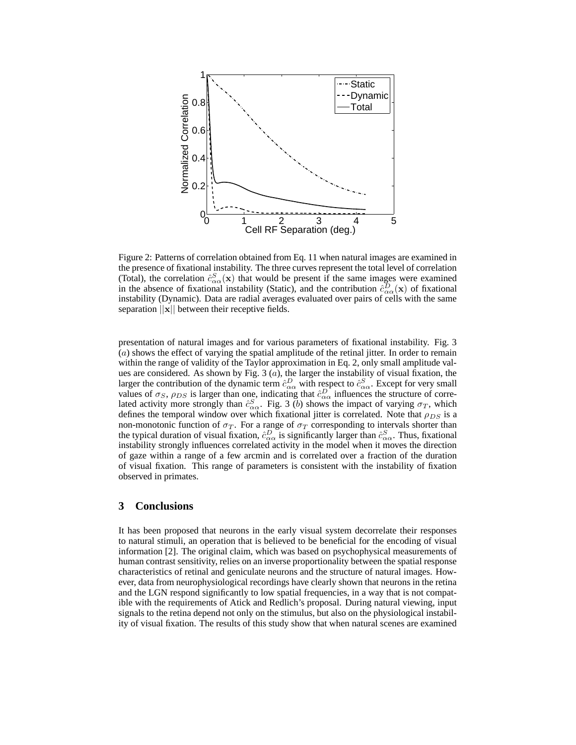

Figure 2: Patterns of correlation obtained from Eq. 11 when natural images are examined in the presence of fixational instability. The three curves represent the total level of correlation (Total), the correlation  $\hat{c}^S_{\alpha\alpha}(\mathbf{x})$  that would be present if the same images were examined in the absence of fixational instability (Static), and the contribution  $\hat{c}^D_{\alpha\alpha}(\mathbf{x})$  of fixational instability (Dynamic). Data are radial averages evaluated over pairs of cells with the same separation  $||\mathbf{x}||$  between their receptive fields.

presentation of natural images and for various parameters of fixational instability. Fig. 3 (a) shows the effect of varying the spatial amplitude of the retinal jitter. In order to remain within the range of validity of the Taylor approximation in Eq. 2, only small amplitude values are considered. As shown by Fig.  $3(a)$ , the larger the instability of visual fixation, the larger the contribution of the dynamic term  $\hat{c}^D_{\alpha\alpha}$  with respect to  $\hat{c}^S_{\alpha\alpha}$ . Except for very small values of  $\sigma_S$ ,  $\rho_{DS}$  is larger than one, indicating that  $\hat{c}_{\alpha\alpha}^D$  influences the structure of correlated activity more strongly than  $\hat{c}^S_{\alpha\alpha}$ . Fig. 3 (b) shows the impact of varying  $\sigma_T$ , which defines the temporal window over which fixational jitter is correlated. Note that  $\rho_{DS}$  is a non-monotonic function of  $\sigma_T$ . For a range of  $\sigma_T$  corresponding to intervals shorter than the typical duration of visual fixation,  $\hat{c}^D_{\alpha\alpha}$  is significantly larger than  $\hat{c}^S_{\alpha\alpha}$ . Thus, fixational instability strongly influences correlated activity in the model when it moves the direction of gaze within a range of a few arcmin and is correlated over a fraction of the duration of visual fixation. This range of parameters is consistent with the instability of fixation observed in primates.

## **3 Conclusions**

It has been proposed that neurons in the early visual system decorrelate their responses to natural stimuli, an operation that is believed to be beneficial for the encoding of visual information [2]. The original claim, which was based on psychophysical measurements of human contrast sensitivity, relies on an inverse proportionality between the spatial response characteristics of retinal and geniculate neurons and the structure of natural images. However, data from neurophysiological recordings have clearly shown that neurons in the retina and the LGN respond significantly to low spatial frequencies, in a way that is not compatible with the requirements of Atick and Redlich's proposal. During natural viewing, input signals to the retina depend not only on the stimulus, but also on the physiological instability of visual fixation. The results of this study show that when natural scenes are examined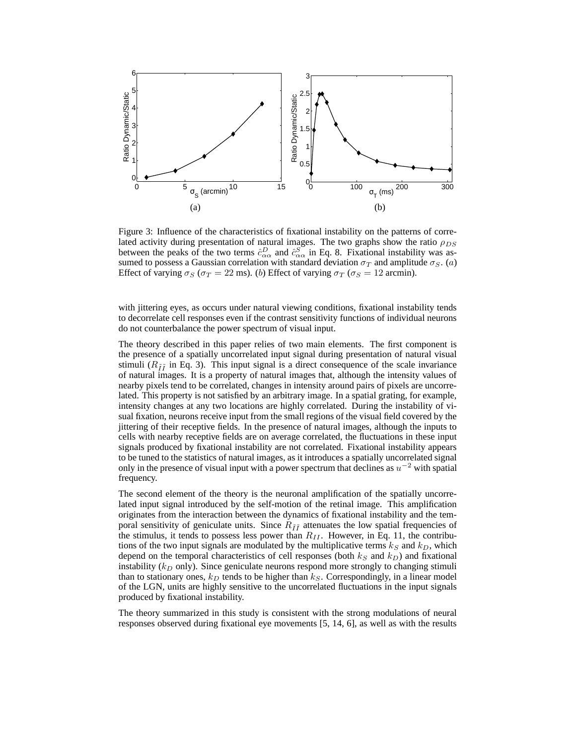

Figure 3: Influence of the characteristics of fixational instability on the patterns of correlated activity during presentation of natural images. The two graphs show the ratio  $\rho_{DS}$ between the peaks of the two terms  $\hat{c}_{\alpha\alpha}^D$  and  $\hat{c}_{\alpha\alpha}^S$  in Eq. 8. Fixational instability was assumed to possess a Gaussian correlation with standard deviation  $\sigma_T$  and amplitude  $\sigma_S$ . (a) Effect of varying  $\sigma_S$  ( $\sigma_T = 22$  ms). (b) Effect of varying  $\sigma_T$  ( $\sigma_S = 12$  arcmin).

with jittering eyes, as occurs under natural viewing conditions, fixational instability tends to decorrelate cell responses even if the contrast sensitivity functions of individual neurons do not counterbalance the power spectrum of visual input.

The theory described in this paper relies of two main elements. The first component is the presence of a spatially uncorrelated input signal during presentation of natural visual stimuli ( $R_{\tilde{i}\tilde{j}}$  in Eq. 3). This input signal is a direct consequence of the scale invariance of natural images. It is a property of natural images that, although the intensity values of nearby pixels tend to be correlated, changes in intensity around pairs of pixels are uncorrelated. This property is not satisfied by an arbitrary image. In a spatial grating, for example, intensity changes at any two locations are highly correlated. During the instability of visual fixation, neurons receive input from the small regions of the visual field covered by the jittering of their receptive fields. In the presence of natural images, although the inputs to cells with nearby receptive fields are on average correlated, the fluctuations in these input signals produced by fixational instability are not correlated. Fixational instability appears to be tuned to the statistics of natural images, as it introduces a spatially uncorrelated signal only in the presence of visual input with a power spectrum that declines as  $u^{-2}$  with spatial frequency.

The second element of the theory is the neuronal amplification of the spatially uncorrelated input signal introduced by the self-motion of the retinal image. This amplification originates from the interaction between the dynamics of fixational instability and the temporal sensitivity of geniculate units. Since  $R_{\tilde{I}\tilde{I}}$  attenuates the low spatial frequencies of the stimulus, it tends to possess less power than  $R_{II}$ . However, in Eq. 11, the contributions of the two input signals are modulated by the multiplicative terms  $k<sub>S</sub>$  and  $k<sub>D</sub>$ , which depend on the temporal characteristics of cell responses (both  $k<sub>S</sub>$  and  $k<sub>D</sub>$ ) and fixational instability  $(k_D)$  only). Since geniculate neurons respond more strongly to changing stimuli than to stationary ones,  $k_D$  tends to be higher than  $k_S$ . Correspondingly, in a linear model of the LGN, units are highly sensitive to the uncorrelated fluctuations in the input signals produced by fixational instability.

The theory summarized in this study is consistent with the strong modulations of neural responses observed during fixational eye movements [5, 14, 6], as well as with the results